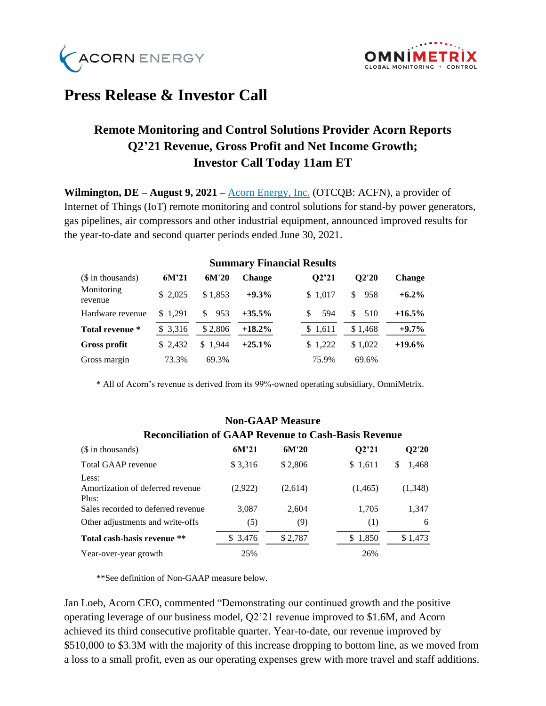



## **Press Release & Investor Call**

## **Remote Monitoring and Control Solutions Provider Acorn Reports Q2'21 Revenue, Gross Profit and Net Income Growth; Investor Call Today 11am ET**

**Wilmington, DE – August 9, 2021 –** [Acorn Energy, Inc.](http://acornenergy.com/) (OTCQB: ACFN), a provider of Internet of Things (IoT) remote monitoring and control solutions for stand-by power generators, gas pipelines, air compressors and other industrial equipment, announced improved results for the year-to-date and second quarter periods ended June 30, 2021.

| (\$ in thousands)     |          |           |               |           |            |               |
|-----------------------|----------|-----------|---------------|-----------|------------|---------------|
|                       | $6M^2$   | 6M'20     | <b>Change</b> | O2'21     | O2'20      | <b>Change</b> |
| Monitoring<br>revenue | \$2.025  | \$1.853   | $+9.3%$       | \$1.017   | 958<br>\$. | $+6.2\%$      |
| Hardware revenue      | \$1.291  | 953<br>S. | $+35.5%$      | 594<br>S. | 510<br>S.  | $+16.5\%$     |
| Total revenue *       | \$ 3,316 | \$2,806   | $+18.2\%$     | \$1,611   | \$1.468    | $+9.7\%$      |
| Gross profit          | \$2.432  | \$1.944   | $+25.1%$      | \$1,222   | \$1.022    | $+19.6\%$     |
| Gross margin          | 73.3%    | 69.3%     |               | 75.9%     | 69.6%      |               |

## **Summary Financial Results**

\* All of Acorn's revenue is derived from its 99%-owned operating subsidiary, OmniMetrix.

#### **Non-GAAP Measure**

#### (\$ in thousands) **6M'21 6M'20 Q2'21 Q2'20** Total GAAP revenue  $$3,316$   $$2,806$   $$1,611$   $$1,468$ Less: Amortization of deferred revenue (2,922) (2,614) (1,465) (1,348) Plus: Sales recorded to deferred revenue 3,087 2,604 1,705 1,347 Other adjustments and write-offs (5) (9) (1) 6 **Total cash-basis revenue** \*\*  $$ 3,476$   $$ 2,787$   $$ 1,850$   $$ 1,473$ Year-over-year growth 25% 26%

# **Reconciliation of GAAP Revenue to Cash-Basis Revenue**

\*\*See definition of Non-GAAP measure below.

Jan Loeb, Acorn CEO, commented "Demonstrating our continued growth and the positive operating leverage of our business model, Q2'21 revenue improved to \$1.6M, and Acorn achieved its third consecutive profitable quarter. Year-to-date, our revenue improved by \$510,000 to \$3.3M with the majority of this increase dropping to bottom line, as we moved from a loss to a small profit, even as our operating expenses grew with more travel and staff additions.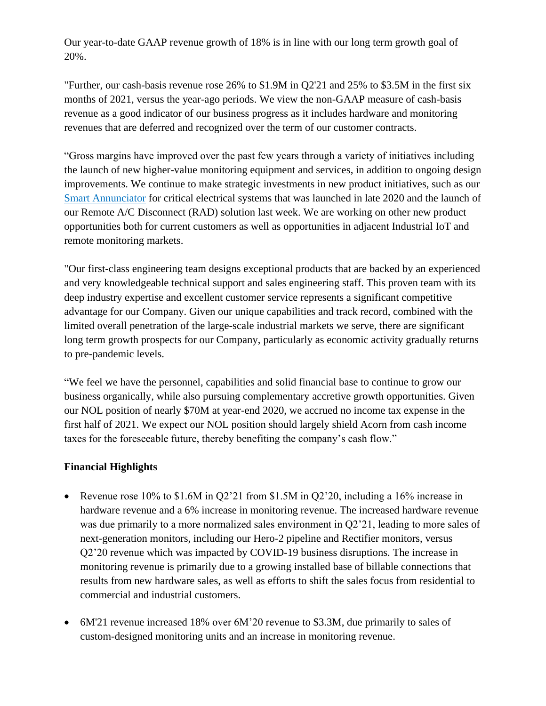Our year-to-date GAAP revenue growth of 18% is in line with our long term growth goal of 20%.

"Further, our cash-basis revenue rose 26% to \$1.9M in Q2'21 and 25% to \$3.5M in the first six months of 2021, versus the year-ago periods. We view the non-GAAP measure of cash-basis revenue as a good indicator of our business progress as it includes hardware and monitoring revenues that are deferred and recognized over the term of our customer contracts.

"Gross margins have improved over the past few years through a variety of initiatives including the launch of new higher-value monitoring equipment and services, in addition to ongoing design improvements. We continue to make strategic investments in new product initiatives, such as our [Smart Annunciator](https://www.omnimetrix.net/smart-annunciator/?hsCtaTracking=b9e47646-e913-4ed1-b362-f182f7fcbd03%7C9aeeb026-1353-4193-a774-dcf06ad826cd) for critical electrical systems that was launched in late 2020 and the launch of our Remote A/C Disconnect (RAD) solution last week. We are working on other new product opportunities both for current customers as well as opportunities in adjacent Industrial IoT and remote monitoring markets.

"Our first-class engineering team designs exceptional products that are backed by an experienced and very knowledgeable technical support and sales engineering staff. This proven team with its deep industry expertise and excellent customer service represents a significant competitive advantage for our Company. Given our unique capabilities and track record, combined with the limited overall penetration of the large-scale industrial markets we serve, there are significant long term growth prospects for our Company, particularly as economic activity gradually returns to pre-pandemic levels.

"We feel we have the personnel, capabilities and solid financial base to continue to grow our business organically, while also pursuing complementary accretive growth opportunities. Given our NOL position of nearly \$70M at year-end 2020, we accrued no income tax expense in the first half of 2021. We expect our NOL position should largely shield Acorn from cash income taxes for the foreseeable future, thereby benefiting the company's cash flow."

## **Financial Highlights**

- Revenue rose  $10\%$  to \$1.6M in O2'21 from \$1.5M in O2'20, including a 16% increase in hardware revenue and a 6% increase in monitoring revenue. The increased hardware revenue was due primarily to a more normalized sales environment in Q2'21, leading to more sales of next-generation monitors, including our Hero-2 pipeline and Rectifier monitors, versus Q2'20 revenue which was impacted by COVID-19 business disruptions. The increase in monitoring revenue is primarily due to a growing installed base of billable connections that results from new hardware sales, as well as efforts to shift the sales focus from residential to commercial and industrial customers.
- 6M'21 revenue increased 18% over 6M'20 revenue to \$3.3M, due primarily to sales of custom-designed monitoring units and an increase in monitoring revenue.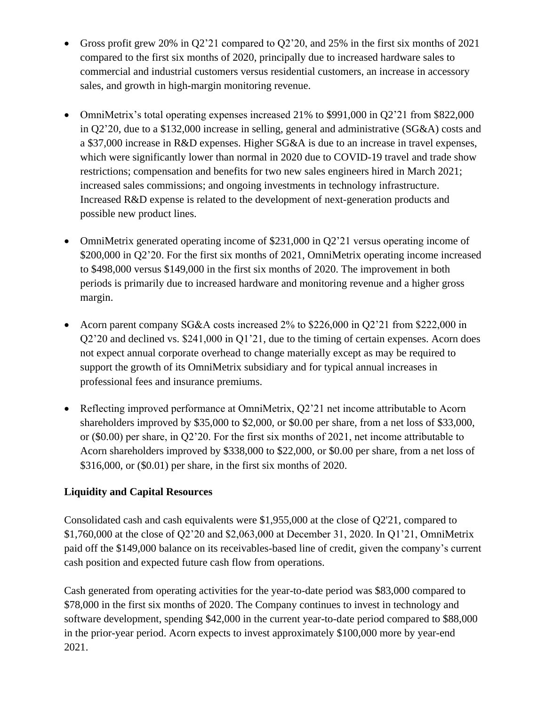- Gross profit grew 20% in Q2'21 compared to Q2'20, and 25% in the first six months of 2021 compared to the first six months of 2020, principally due to increased hardware sales to commercial and industrial customers versus residential customers, an increase in accessory sales, and growth in high-margin monitoring revenue.
- OmniMetrix's total operating expenses increased 21% to \$991,000 in Q2'21 from \$822,000 in Q2'20, due to a \$132,000 increase in selling, general and administrative (SG&A) costs and a \$37,000 increase in R&D expenses. Higher SG&A is due to an increase in travel expenses, which were significantly lower than normal in 2020 due to COVID-19 travel and trade show restrictions; compensation and benefits for two new sales engineers hired in March 2021; increased sales commissions; and ongoing investments in technology infrastructure. Increased R&D expense is related to the development of next-generation products and possible new product lines.
- OmniMetrix generated operating income of \$231,000 in Q2'21 versus operating income of \$200,000 in Q2'20. For the first six months of 2021, OmniMetrix operating income increased to \$498,000 versus \$149,000 in the first six months of 2020. The improvement in both periods is primarily due to increased hardware and monitoring revenue and a higher gross margin.
- Acorn parent company SG&A costs increased 2% to \$226,000 in O2'21 from \$222,000 in Q2'20 and declined vs. \$241,000 in Q1'21, due to the timing of certain expenses. Acorn does not expect annual corporate overhead to change materially except as may be required to support the growth of its OmniMetrix subsidiary and for typical annual increases in professional fees and insurance premiums.
- Reflecting improved performance at OmniMetrix, Q2'21 net income attributable to Acorn shareholders improved by \$35,000 to \$2,000, or \$0.00 per share, from a net loss of \$33,000, or (\$0.00) per share, in Q2'20. For the first six months of 2021, net income attributable to Acorn shareholders improved by \$338,000 to \$22,000, or \$0.00 per share, from a net loss of \$316,000, or (\$0.01) per share, in the first six months of 2020.

## **Liquidity and Capital Resources**

Consolidated cash and cash equivalents were \$1,955,000 at the close of Q2'21, compared to \$1,760,000 at the close of Q2'20 and \$2,063,000 at December 31, 2020. In Q1'21, OmniMetrix paid off the \$149,000 balance on its receivables-based line of credit, given the company's current cash position and expected future cash flow from operations.

Cash generated from operating activities for the year-to-date period was \$83,000 compared to \$78,000 in the first six months of 2020. The Company continues to invest in technology and software development, spending \$42,000 in the current year-to-date period compared to \$88,000 in the prior-year period. Acorn expects to invest approximately \$100,000 more by year-end 2021.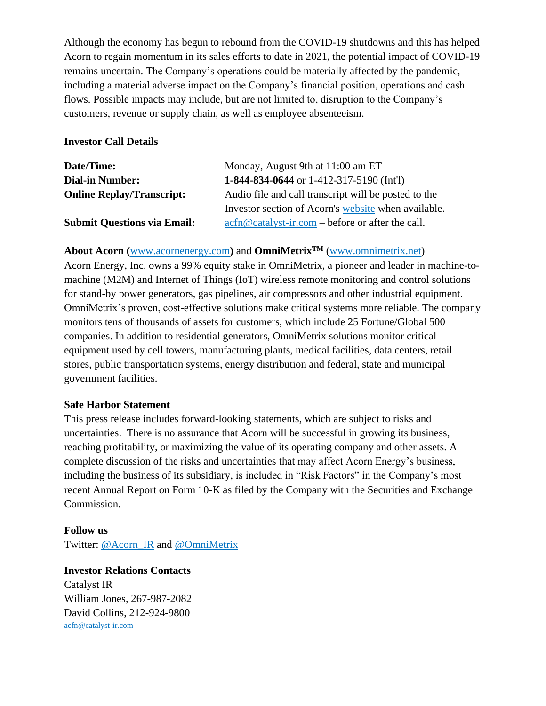Although the economy has begun to rebound from the COVID-19 shutdowns and this has helped Acorn to regain momentum in its sales efforts to date in 2021, the potential impact of COVID-19 remains uncertain. The Company's operations could be materially affected by the pandemic, including a material adverse impact on the Company's financial position, operations and cash flows. Possible impacts may include, but are not limited to, disruption to the Company's customers, revenue or supply chain, as well as employee absenteeism.

#### **Investor Call Details**

| Date/Time:                         | Monday, August 9th at 11:00 am ET                                                                                                                  |  |  |  |  |
|------------------------------------|----------------------------------------------------------------------------------------------------------------------------------------------------|--|--|--|--|
| <b>Dial-in Number:</b>             | 1-844-834-0644 or 1-412-317-5190 (Int'l)                                                                                                           |  |  |  |  |
| <b>Online Replay/Transcript:</b>   | Audio file and call transcript will be posted to the                                                                                               |  |  |  |  |
|                                    | Investor section of Acorn's website when available.                                                                                                |  |  |  |  |
| <b>Submit Questions via Email:</b> | $\operatorname{acfn}\nolimits @ \operatorname{catalyst-ir}.\nolimits com - \operatorname{before} or \operatorname{after} the \operatorname{call}.$ |  |  |  |  |

**About Acorn (**[www.acornenergy.com](http://www.acornenergy.com/)**)** and **OmniMetrixTM** [\(www.omnimetrix.net\)](http://www.omnimetrix.net/)

Acorn Energy, Inc. owns a 99% equity stake in OmniMetrix, a pioneer and leader in machine-tomachine (M2M) and Internet of Things (IoT) wireless remote monitoring and control solutions for stand-by power generators, gas pipelines, air compressors and other industrial equipment. OmniMetrix's proven, cost-effective solutions make critical systems more reliable. The company monitors tens of thousands of assets for customers, which include 25 Fortune/Global 500 companies. In addition to residential generators, OmniMetrix solutions monitor critical equipment used by cell towers, manufacturing plants, medical facilities, data centers, retail stores, public transportation systems, energy distribution and federal, state and municipal government facilities.

## **Safe Harbor Statement**

This press release includes forward-looking statements, which are subject to risks and uncertainties. There is no assurance that Acorn will be successful in growing its business, reaching profitability, or maximizing the value of its operating company and other assets. A complete discussion of the risks and uncertainties that may affect Acorn Energy's business, including the business of its subsidiary, is included in "Risk Factors" in the Company's most recent Annual Report on Form 10-K as filed by the Company with the Securities and Exchange Commission.

#### **Follow us**

Twitter: [@Acorn\\_IR](https://twitter.com/ACORN_IR) and [@OmniMetrix](https://twitter.com/OmniMetrix)

## **Investor Relations Contacts**

Catalyst IR William Jones, 267-987-2082 David Collins, 212-924-9800 [acfn@catalyst-ir.com](mailto:acfn@catalyst-ir.com)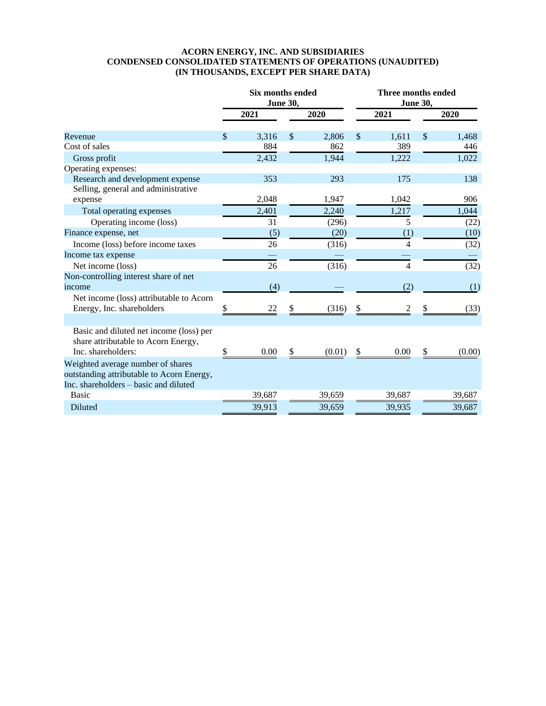#### **ACORN ENERGY, INC. AND SUBSIDIARIES CONDENSED CONSOLIDATED STATEMENTS OF OPERATIONS (UNAUDITED) (IN THOUSANDS, EXCEPT PER SHARE DATA)**

|                                                                                                                         | Six months ended<br><b>June 30,</b> |        | <b>Three months ended</b><br><b>June 30,</b> |        |                           |        |    |        |
|-------------------------------------------------------------------------------------------------------------------------|-------------------------------------|--------|----------------------------------------------|--------|---------------------------|--------|----|--------|
|                                                                                                                         |                                     | 2021   |                                              | 2020   |                           | 2021   |    | 2020   |
| Revenue                                                                                                                 | \$                                  | 3,316  | \$                                           | 2,806  | $\boldsymbol{\mathsf{S}}$ | 1,611  | \$ | 1,468  |
| Cost of sales                                                                                                           |                                     | 884    |                                              | 862    |                           | 389    |    | 446    |
| Gross profit                                                                                                            |                                     | 2,432  |                                              | 1,944  |                           | 1,222  |    | 1,022  |
| Operating expenses:                                                                                                     |                                     |        |                                              |        |                           |        |    |        |
| Research and development expense                                                                                        |                                     | 353    |                                              | 293    |                           | 175    |    | 138    |
| Selling, general and administrative                                                                                     |                                     |        |                                              |        |                           |        |    |        |
| expense                                                                                                                 |                                     | 2,048  |                                              | 1,947  |                           | 1,042  |    | 906    |
| Total operating expenses                                                                                                |                                     | 2,401  |                                              | 2,240  |                           | 1,217  |    | 1,044  |
| Operating income (loss)                                                                                                 |                                     | 31     |                                              | (296)  |                           | 5      |    | (22)   |
| Finance expense, net                                                                                                    |                                     | (5)    |                                              | (20)   |                           | (1)    |    | (10)   |
| Income (loss) before income taxes                                                                                       |                                     | 26     |                                              | (316)  |                           | 4      |    | (32)   |
| Income tax expense                                                                                                      |                                     |        |                                              |        |                           |        |    |        |
| Net income (loss)                                                                                                       |                                     | 26     |                                              | (316)  |                           | 4      |    | (32)   |
| Non-controlling interest share of net                                                                                   |                                     |        |                                              |        |                           |        |    |        |
| income                                                                                                                  |                                     | (4)    |                                              |        |                           | (2)    |    | (1)    |
| Net income (loss) attributable to Acorn                                                                                 |                                     |        |                                              |        |                           |        |    |        |
| Energy, Inc. shareholders                                                                                               |                                     | 22     |                                              | (316)  | \$                        | 2      |    | (33)   |
|                                                                                                                         |                                     |        |                                              |        |                           |        |    |        |
| Basic and diluted net income (loss) per<br>share attributable to Acorn Energy,<br>Inc. shareholders:                    |                                     | 0.00   | S                                            | (0.01) | \$                        | 0.00   | \$ | (0.00) |
|                                                                                                                         |                                     |        |                                              |        |                           |        |    |        |
| Weighted average number of shares<br>outstanding attributable to Acorn Energy,<br>Inc. shareholders – basic and diluted |                                     |        |                                              |        |                           |        |    |        |
| <b>Basic</b>                                                                                                            |                                     | 39,687 |                                              | 39,659 |                           | 39,687 |    | 39,687 |
| Diluted                                                                                                                 |                                     | 39,913 |                                              | 39,659 |                           | 39,935 |    | 39,687 |
|                                                                                                                         |                                     |        |                                              |        |                           |        |    |        |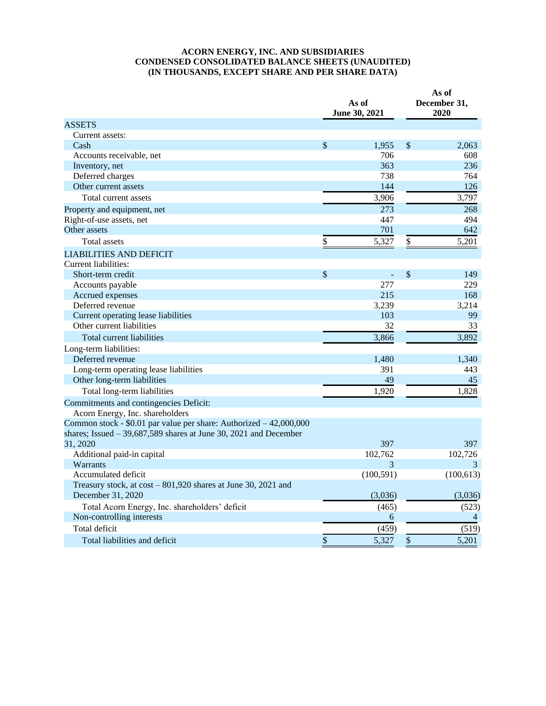#### **ACORN ENERGY, INC. AND SUBSIDIARIES CONDENSED CONSOLIDATED BALANCE SHEETS (UNAUDITED) (IN THOUSANDS, EXCEPT SHARE AND PER SHARE DATA)**

|                                                                                                                                         | As of<br>June 30, 2021 | As of<br>December 31,<br>2020 |            |  |
|-----------------------------------------------------------------------------------------------------------------------------------------|------------------------|-------------------------------|------------|--|
| <b>ASSETS</b>                                                                                                                           |                        |                               |            |  |
| Current assets:                                                                                                                         |                        |                               |            |  |
| Cash                                                                                                                                    | \$<br>1,955            | $\mathcal{S}$                 | 2,063      |  |
| Accounts receivable, net                                                                                                                | 706                    |                               | 608        |  |
| Inventory, net                                                                                                                          | 363                    |                               | 236        |  |
| Deferred charges                                                                                                                        | 738                    |                               | 764        |  |
| Other current assets                                                                                                                    | 144                    |                               | 126        |  |
| Total current assets                                                                                                                    | 3,906                  |                               | 3,797      |  |
| Property and equipment, net                                                                                                             | 273                    |                               | 268        |  |
| Right-of-use assets, net                                                                                                                | 447                    |                               | 494        |  |
| Other assets                                                                                                                            | 701                    |                               | 642        |  |
| <b>Total assets</b>                                                                                                                     | \$<br>5,327            | \$                            | 5,201      |  |
| <b>LIABILITIES AND DEFICIT</b>                                                                                                          |                        |                               |            |  |
| Current liabilities:                                                                                                                    |                        |                               |            |  |
| Short-term credit                                                                                                                       | \$                     | $\boldsymbol{\mathsf{S}}$     | 149        |  |
| Accounts payable                                                                                                                        | 277                    |                               | 229        |  |
| Accrued expenses                                                                                                                        | 215                    |                               | 168        |  |
| Deferred revenue                                                                                                                        | 3,239                  |                               | 3,214      |  |
| Current operating lease liabilities                                                                                                     | 103                    |                               | 99         |  |
| Other current liabilities                                                                                                               | 32                     |                               | 33         |  |
| Total current liabilities                                                                                                               | 3,866                  |                               | 3,892      |  |
| Long-term liabilities:                                                                                                                  |                        |                               |            |  |
| Deferred revenue                                                                                                                        | 1,480                  |                               | 1,340      |  |
| Long-term operating lease liabilities                                                                                                   | 391                    |                               | 443        |  |
| Other long-term liabilities                                                                                                             | 49                     |                               | 45         |  |
| Total long-term liabilities                                                                                                             | 1,920                  |                               | 1,828      |  |
| Commitments and contingencies Deficit:                                                                                                  |                        |                               |            |  |
| Acorn Energy, Inc. shareholders                                                                                                         |                        |                               |            |  |
| Common stock - \$0.01 par value per share: Authorized - 42,000,000<br>shares; Issued $-39,687,589$ shares at June 30, 2021 and December |                        |                               |            |  |
| 31, 2020                                                                                                                                | 397                    |                               | 397        |  |
| Additional paid-in capital                                                                                                              | 102,762                |                               | 102,726    |  |
| Warrants                                                                                                                                | 3                      |                               | 3          |  |
| Accumulated deficit                                                                                                                     | (100, 591)             |                               | (100, 613) |  |
| Treasury stock, at cost - 801,920 shares at June 30, 2021 and                                                                           |                        |                               |            |  |
| December 31, 2020                                                                                                                       | (3,036)                |                               | (3,036)    |  |
| Total Acorn Energy, Inc. shareholders' deficit                                                                                          | (465)                  |                               | (523)      |  |
| Non-controlling interests                                                                                                               | 6                      |                               | 4          |  |
| Total deficit                                                                                                                           | (459)                  |                               | (519)      |  |
| Total liabilities and deficit                                                                                                           | \$<br>5,327            | \$                            | 5,201      |  |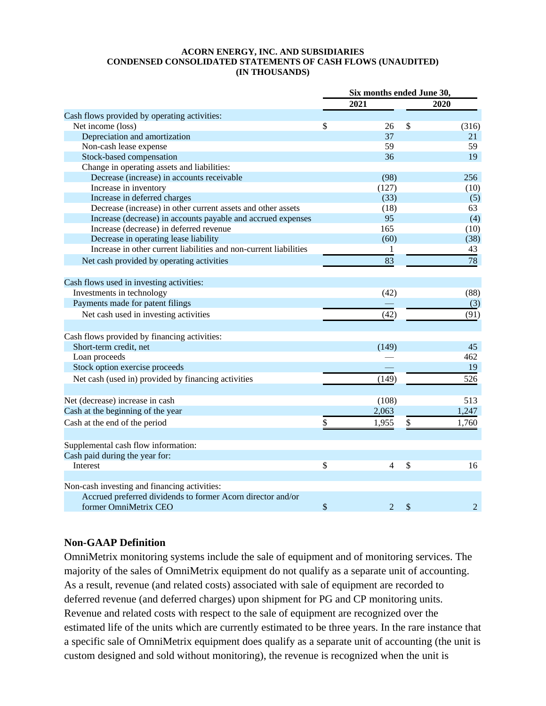#### **ACORN ENERGY, INC. AND SUBSIDIARIES CONDENSED CONSOLIDATED STATEMENTS OF CASH FLOWS (UNAUDITED) (IN THOUSANDS)**

|                                                                   | Six months ended June 30, |    |                |  |
|-------------------------------------------------------------------|---------------------------|----|----------------|--|
|                                                                   | 2021                      |    | 2020           |  |
| Cash flows provided by operating activities:                      |                           |    |                |  |
| Net income (loss)                                                 | \$<br>26                  | \$ | (316)          |  |
| Depreciation and amortization                                     | 37                        |    | 21             |  |
| Non-cash lease expense                                            | 59                        |    | 59             |  |
| Stock-based compensation                                          | 36                        |    | 19             |  |
| Change in operating assets and liabilities:                       |                           |    |                |  |
| Decrease (increase) in accounts receivable                        | (98)                      |    | 256            |  |
| Increase in inventory                                             | (127)                     |    | (10)           |  |
| Increase in deferred charges                                      | (33)                      |    | (5)            |  |
| Decrease (increase) in other current assets and other assets      | (18)                      |    | 63             |  |
| Increase (decrease) in accounts payable and accrued expenses      | 95                        |    | (4)            |  |
| Increase (decrease) in deferred revenue                           | 165                       |    | (10)           |  |
| Decrease in operating lease liability                             | (60)                      |    | (38)           |  |
| Increase in other current liabilities and non-current liabilities | 1                         |    | 43             |  |
| Net cash provided by operating activities                         | 83                        |    | 78             |  |
| Cash flows used in investing activities:                          |                           |    |                |  |
| Investments in technology                                         | (42)                      |    | (88)           |  |
| Payments made for patent filings                                  |                           |    | (3)            |  |
|                                                                   |                           |    |                |  |
| Net cash used in investing activities                             | (42)                      |    | (91)           |  |
| Cash flows provided by financing activities:                      |                           |    |                |  |
| Short-term credit, net                                            | (149)                     |    | 45             |  |
| Loan proceeds                                                     |                           |    | 462            |  |
| Stock option exercise proceeds                                    |                           |    | 19             |  |
| Net cash (used in) provided by financing activities               | (149)                     |    | 526            |  |
|                                                                   |                           |    |                |  |
| Net (decrease) increase in cash                                   | (108)                     |    | 513            |  |
| Cash at the beginning of the year                                 | 2,063                     |    | 1,247          |  |
| Cash at the end of the period                                     | \$<br>1,955               | \$ | 1,760          |  |
| Supplemental cash flow information:                               |                           |    |                |  |
| Cash paid during the year for:                                    |                           |    |                |  |
| Interest                                                          | \$<br>$\overline{4}$      | \$ | 16             |  |
| Non-cash investing and financing activities:                      |                           |    |                |  |
| Accrued preferred dividends to former Acorn director and/or       |                           |    |                |  |
| former OmniMetrix CEO                                             | \$<br>$\overline{2}$      | \$ | $\overline{2}$ |  |
|                                                                   |                           |    |                |  |

## **Non-GAAP Definition**

OmniMetrix monitoring systems include the sale of equipment and of monitoring services. The majority of the sales of OmniMetrix equipment do not qualify as a separate unit of accounting. As a result, revenue (and related costs) associated with sale of equipment are recorded to deferred revenue (and deferred charges) upon shipment for PG and CP monitoring units. Revenue and related costs with respect to the sale of equipment are recognized over the estimated life of the units which are currently estimated to be three years. In the rare instance that a specific sale of OmniMetrix equipment does qualify as a separate unit of accounting (the unit is custom designed and sold without monitoring), the revenue is recognized when the unit is